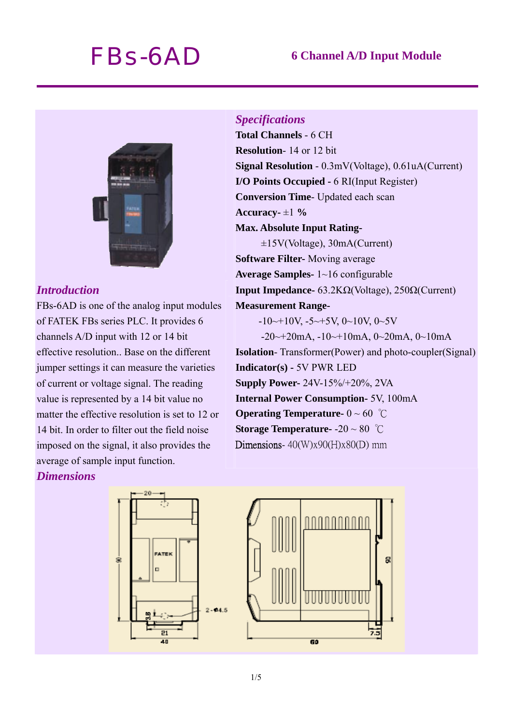# *FBs-6AD* **6 Channel A/D Input Module**



### *Introduction*

FBs-6AD is one of the analog input modules of FATEK FBs series PLC. It provides 6 channels A/D input with 12 or 14 bit effective resolution.. Base on the different jumper settings it can measure the varieties of current or voltage signal. The reading value is represented by a 14 bit value no matter the effective resolution is set to 12 or 14 bit. In order to filter out the field noise imposed on the signal, it also provides the average of sample input function.

# *Dimensions*

# *Specifications*  **Total Channels** - 6 CH **Resolution**- 14 or 12 bit **Signal Resolution** - 0.3mV(Voltage), 0.61uA(Current) **I/O Points Occupied -** 6 RI(Input Register) **Conversion Time**- Updated each scan

Accuracy- $\pm 1\%$ 

#### **Max. Absolute Input Rating-**

±15V(Voltage), 30mA(Current) **Software Filter-** Moving average **Average Samples-** 1~16 configurable **Input Impedance-** 63.2KΩ(Voltage), 250Ω(Current) **Measurement Range-**   $-10 \rightarrow 10V$ ,  $-5 \rightarrow 5V$ ,  $0 \rightarrow 10V$ ,  $0 \rightarrow 5V$ 

 $-20 \rightarrow 20$ mA,  $-10 \rightarrow 10$ mA,  $0 \rightarrow 20$ mA,  $0 \rightarrow 10$ mA **Isolation**- Transformer(Power) and photo-coupler(Signal) **Indicator(s) -** 5V PWR LED **Supply Power-** 24V-15%/+20%, 2VA **Internal Power Consumption-** 5V, 100mA **Operating Temperature-** 0 ~ 60 ℃ **Storage Temperature-** -20 ~ 80 ℃

Dimensions-  $40(W)x90(H)x80(D)$  mm

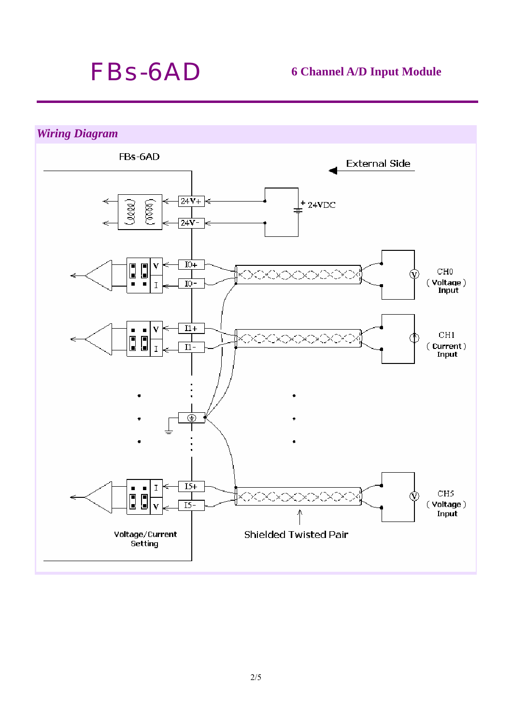# *FBs-6AD* **6 Channel A/D Input Module**

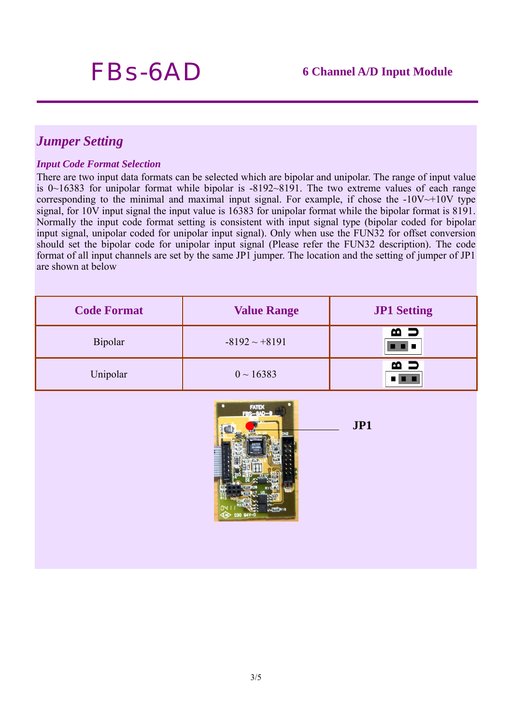# *Jumper Setting*

#### *Input Code Format Selection*

There are two input data formats can be selected which are bipolar and unipolar. The range of input value is 0~16383 for unipolar format while bipolar is -8192~8191. The two extreme values of each range corresponding to the minimal and maximal input signal. For example, if chose the  $-10V \rightarrow +10V$  type signal, for 10V input signal the input value is 16383 for unipolar format while the bipolar format is 8191. Normally the input code format setting is consistent with input signal type (bipolar coded for bipolar input signal, unipolar coded for unipolar input signal). Only when use the FUN32 for offset conversion should set the bipolar code for unipolar input signal (Please refer the FUN32 description). The code format of all input channels are set by the same JP1 jumper. The location and the setting of jumper of JP1 are shown at below

| <b>Code Format</b> | <b>Value Range</b> | <b>JP1</b> Setting |
|--------------------|--------------------|--------------------|
| <b>Bipolar</b>     | $-8192 \sim +8191$ | മ ⊃<br>- -         |
| Unipolar           | $0 \sim 16383$     | മ ⊃                |



**JP1**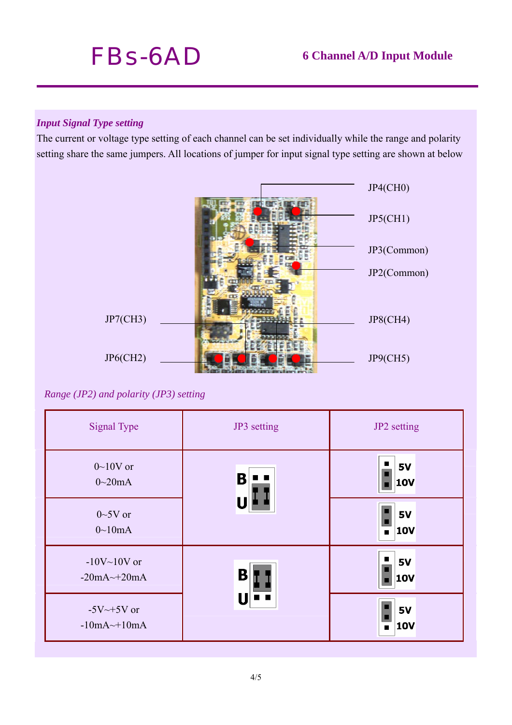

# *Input Signal Type setting*

The current or voltage type setting of each channel can be set individually while the range and polarity setting share the same jumpers. All locations of jumper for input signal type setting are shown at below



*Range (JP2) and polarity (JP3) setting* 

| <b>Signal Type</b>                                          | JP3 setting         | JP2 setting                  |
|-------------------------------------------------------------|---------------------|------------------------------|
| $0 \sim 10V$ or<br>$0\sim 20mA$                             | Β<br>$\blacksquare$ | <b>5V</b><br><b>10V</b>      |
| $0 \sim 5V$ or<br>$0 \sim 10mA$                             |                     | 5V<br>10V<br>$\blacksquare$  |
| $-10V$ ~ $10V$ or<br>$-20mA \rightleftharpoons 20mA$        | B                   | <b>I</b><br><b>5V</b><br>10V |
| $-5V \rightarrow +5V$ or<br>$-10mA \rightleftharpoons 10mA$ |                     | <b>5V</b><br>10V<br>п        |